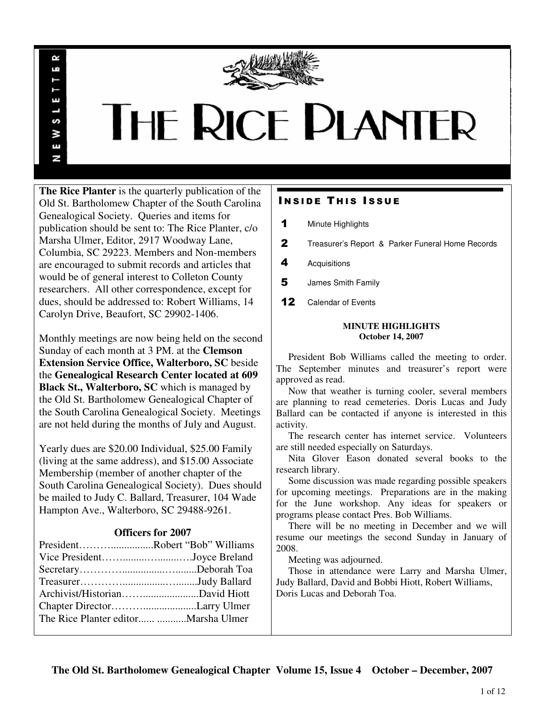

# **THE RICE PLANTER**

**The Rice Planter** is the quarterly publication of the Old St. Bartholomew Chapter of the South Carolina Genealogical Society. Queries and items for publication should be sent to: The Rice Planter, c/o Marsha Ulmer, Editor, 2917 Woodway Lane, Columbia, SC 29223. Members and Non-members are encouraged to submit records and articles that would be of general interest to Colleton County researchers. All other correspondence, except for dues, should be addressed to: Robert Williams, 14 Carolyn Drive, Beaufort, SC 29902-1406.

 $\sim$ uń

ш

S ¥ Ŧ N

Monthly meetings are now being held on the second Sunday of each month at 3 PM. at the **Clemson Extension Service Office, Walterboro, SC** beside the **Genealogical Research Center located at 609 Black St., Walterboro, SC** which is managed by the Old St. Bartholomew Genealogical Chapter of the South Carolina Genealogical Society. Meetings are not held during the months of July and August.

Yearly dues are \$20.00 Individual, \$25.00 Family (living at the same address), and \$15.00 Associate Membership (member of another chapter of the South Carolina Genealogical Society). Dues should be mailed to Judy C. Ballard, Treasurer, 104 Wade Hampton Ave., Walterboro, SC 29488-9261.

# **Officers for 2007**

| PresidentRobert "Bob" Williams        |  |
|---------------------------------------|--|
| Vice PresidentJoyce Breland           |  |
|                                       |  |
|                                       |  |
|                                       |  |
|                                       |  |
| The Rice Planter editor  Marsha Ulmer |  |
|                                       |  |

# **INSIDE THIS ISSUE**

- 1 Minute Highlights
- 2 Treasurer's Report & Parker Funeral Home Records
- 4 Acquisitions
- 5 James Smith Family
- 12 Calendar of Events

## **MINUTE HIGHLIGHTS October 14, 2007**

 President Bob Williams called the meeting to order. The September minutes and treasurer's report were approved as read.

 Now that weather is turning cooler, several members are planning to read cemeteries. Doris Lucas and Judy Ballard can be contacted if anyone is interested in this activity.

 The research center has internet service. Volunteers are still needed especially on Saturdays.

 Nita Glover Eason donated several books to the research library.

 Some discussion was made regarding possible speakers for upcoming meetings. Preparations are in the making for the June workshop. Any ideas for speakers or programs please contact Pres. Bob Williams.

 There will be no meeting in December and we will resume our meetings the second Sunday in January of 2008.

Meeting was adjourned.

 Those in attendance were Larry and Marsha Ulmer, Judy Ballard, David and Bobbi Hiott, Robert Williams, Doris Lucas and Deborah Toa.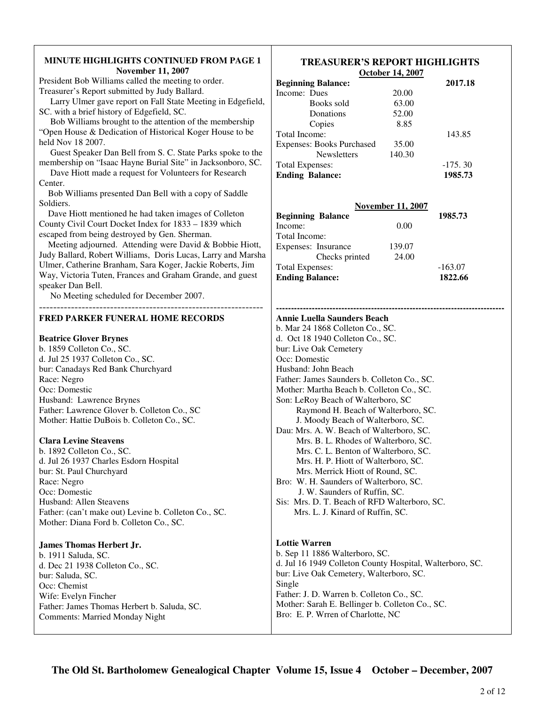| <b>MINUTE HIGHLIGHTS CONTINUED FROM PAGE 1</b><br><b>November 11, 2007</b>                                                                                          | <b>TREASURER'S REPORT HIGHLIGHTS</b><br>October 14, 2007                         |  |
|---------------------------------------------------------------------------------------------------------------------------------------------------------------------|----------------------------------------------------------------------------------|--|
| President Bob Williams called the meeting to order.<br>Treasurer's Report submitted by Judy Ballard.<br>Larry Ulmer gave report on Fall State Meeting in Edgefield, | <b>Beginning Balance:</b><br>2017.18<br>Income: Dues<br>20.00                    |  |
| SC. with a brief history of Edgefield, SC.                                                                                                                          | 63.00<br>Books sold                                                              |  |
| Bob Williams brought to the attention of the membership                                                                                                             | 52.00<br>Donations                                                               |  |
| "Open House & Dedication of Historical Koger House to be                                                                                                            | 8.85<br>Copies<br>Total Income:<br>143.85                                        |  |
| held Nov 18 2007.<br>Guest Speaker Dan Bell from S. C. State Parks spoke to the                                                                                     | <b>Expenses: Books Purchased</b><br>35.00<br>140.30<br><b>Newsletters</b>        |  |
| membership on "Isaac Hayne Burial Site" in Jacksonboro, SC.                                                                                                         | $-175.30$<br><b>Total Expenses:</b>                                              |  |
| Dave Hiott made a request for Volunteers for Research<br>Center.                                                                                                    | <b>Ending Balance:</b><br>1985.73                                                |  |
| Bob Williams presented Dan Bell with a copy of Saddle<br>Soldiers.                                                                                                  | <b>November 11, 2007</b>                                                         |  |
| Dave Hiott mentioned he had taken images of Colleton                                                                                                                | 1985.73<br><b>Beginning Balance</b>                                              |  |
| County Civil Court Docket Index for 1833 - 1839 which                                                                                                               | Income:<br>0.00                                                                  |  |
| escaped from being destroyed by Gen. Sherman.                                                                                                                       | Total Income:                                                                    |  |
| Meeting adjourned. Attending were David & Bobbie Hiott,                                                                                                             | Expenses: Insurance<br>139.07                                                    |  |
| Judy Ballard, Robert Williams, Doris Lucas, Larry and Marsha<br>Ulmer, Catherine Branham, Sara Koger, Jackie Roberts, Jim                                           | Checks printed<br>24.00                                                          |  |
| Way, Victoria Tuten, Frances and Graham Grande, and guest                                                                                                           | <b>Total Expenses:</b><br>$-163.07$<br><b>Ending Balance:</b><br>1822.66         |  |
| speaker Dan Bell.                                                                                                                                                   |                                                                                  |  |
| No Meeting scheduled for December 2007.                                                                                                                             |                                                                                  |  |
| FRED PARKER FUNERAL HOME RECORDS                                                                                                                                    | <b>Annie Luella Saunders Beach</b>                                               |  |
|                                                                                                                                                                     | b. Mar 24 1868 Colleton Co., SC.<br>d. Oct 18 1940 Colleton Co., SC.             |  |
| <b>Beatrice Glover Brynes</b><br>b. 1859 Colleton Co., SC.                                                                                                          | bur: Live Oak Cemetery                                                           |  |
| d. Jul 25 1937 Colleton Co., SC.                                                                                                                                    | Occ: Domestic                                                                    |  |
| bur: Canadays Red Bank Churchyard                                                                                                                                   | Husband: John Beach                                                              |  |
| Race: Negro                                                                                                                                                         | Father: James Saunders b. Colleton Co., SC.                                      |  |
| Occ: Domestic                                                                                                                                                       | Mother: Martha Beach b. Colleton Co., SC.                                        |  |
| Husband: Lawrence Brynes                                                                                                                                            | Son: LeRoy Beach of Walterboro, SC                                               |  |
| Father: Lawrence Glover b. Colleton Co., SC                                                                                                                         | Raymond H. Beach of Walterboro, SC.                                              |  |
| Mother: Hattie DuBois b. Colleton Co., SC.                                                                                                                          | J. Moody Beach of Walterboro, SC.                                                |  |
|                                                                                                                                                                     | Dau: Mrs. A. W. Beach of Walterboro, SC.<br>Mrs. B. L. Rhodes of Walterboro, SC. |  |
| <b>Clara Levine Steavens</b><br>b. 1892 Colleton Co., SC.                                                                                                           | Mrs. C. L. Benton of Walterboro, SC.                                             |  |
| d. Jul 26 1937 Charles Esdorn Hospital                                                                                                                              | Mrs. H. P. Hiott of Walterboro, SC.                                              |  |
| bur: St. Paul Churchyard                                                                                                                                            | Mrs. Merrick Hiott of Round, SC.                                                 |  |
| Race: Negro                                                                                                                                                         | Bro: W. H. Saunders of Walterboro, SC.                                           |  |
| Occ: Domestic                                                                                                                                                       | J. W. Saunders of Ruffin, SC.                                                    |  |
| Husband: Allen Steavens                                                                                                                                             | Sis: Mrs. D. T. Beach of RFD Walterboro, SC.                                     |  |
| Father: (can't make out) Levine b. Colleton Co., SC.                                                                                                                | Mrs. L. J. Kinard of Ruffin, SC.                                                 |  |
| Mother: Diana Ford b. Colleton Co., SC.                                                                                                                             |                                                                                  |  |
| <b>James Thomas Herbert Jr.</b>                                                                                                                                     | <b>Lottie Warren</b>                                                             |  |
| b. 1911 Saluda, SC.                                                                                                                                                 | b. Sep 11 1886 Walterboro, SC.                                                   |  |
| d. Dec 21 1938 Colleton Co., SC.                                                                                                                                    | d. Jul 16 1949 Colleton County Hospital, Walterboro, SC.                         |  |
| bur: Saluda, SC.                                                                                                                                                    | bur: Live Oak Cemetery, Walterboro, SC.                                          |  |
| Occ: Chemist                                                                                                                                                        | Single<br>Father: J. D. Warren b. Colleton Co., SC.                              |  |
| Wife: Evelyn Fincher                                                                                                                                                | Mother: Sarah E. Bellinger b. Colleton Co., SC.                                  |  |
| Father: James Thomas Herbert b. Saluda, SC.<br><b>Comments: Married Monday Night</b>                                                                                | Bro: E. P. Wrren of Charlotte, NC                                                |  |
|                                                                                                                                                                     |                                                                                  |  |

Τ

Г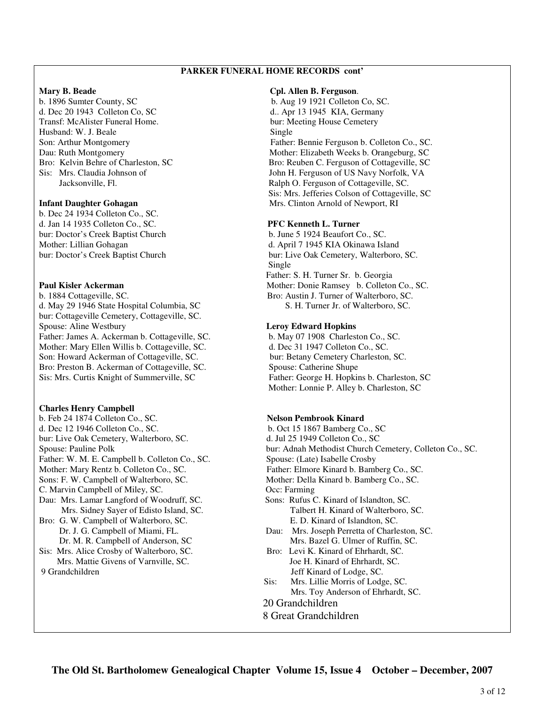## **PARKER FUNERAL HOME RECORDS cont'**

d. Dec 20 1943 Colleton Co, SC d.. Apr 13 1945 KIA, Germany Transf: McAlister Funeral Home. bur: Meeting House Cemetery Husband: W. J. Beale Single

b. Dec 24 1934 Colleton Co., SC. d. Jan 14 1935 Colleton Co., SC. **PFC Kenneth L. Turner**  bur: Doctor's Creek Baptist Church b. June 5 1924 Beaufort Co., SC.

b. 1884 Cottageville, SC. Bro: Austin J. Turner of Walterboro, SC. d. May 29 1946 State Hospital Columbia, SC S. H. Turner Jr. of Walterboro, SC. bur: Cottageville Cemetery, Cottageville, SC. Spouse: Aline Westbury **Leroy Edward Hopkins** Father: James A. Ackerman b. Cottageville, SC. b. May 07 1908 Charleston Co., SC. Mother: Mary Ellen Willis b. Cottageville, SC. d. Dec 31 1947 Colleton Co., SC. Son: Howard Ackerman of Cottageville, SC. bur: Betany Cemetery Charleston, SC. Bro: Preston B. Ackerman of Cottageville, SC. Spouse: Catherine Shupe Sis: Mrs. Curtis Knight of Summerville, SC Father: George H. Hopkins b. Charleston, SC

#### **Charles Henry Campbell**

b. Feb 24 1874 Colleton Co., SC. **Nelson Pembrook Kinard** d. Dec 12 1946 Colleton Co., SC. b. Oct 15 1867 Bamberg Co., SC bur: Live Oak Cemetery, Walterboro, SC. d. Jul 25 1949 Colleton Co., SC Father: W. M. E. Campbell b. Colleton Co., SC. Spouse: (Late) Isabelle Crosby Mother: Mary Rentz b. Colleton Co., SC. Father: Elmore Kinard b. Bamberg Co., SC. Sons: F. W. Campbell of Walterboro, SC. Mother: Della Kinard b. Bamberg Co., SC. C. Marvin Campbell of Miley, SC. C. C. C. C. Farming Dau: Mrs. Lamar Langford of Woodruff, SC. Sons: Rufus C. Kinard of Islandton, SC. Bro: G. W. Campbell of Walterboro, SC. E. D. Kinard of Islandton, SC. Dr. M. R. Campbell of Anderson, SC Mrs. Bazel G. Ulmer of Ruffin, SC. Sis: Mrs. Alice Crosby of Walterboro, SC. Bro: Levi K. Kinard of Ehrhardt, SC. Mrs. Mattie Givens of Varnville, SC. Joe H. Kinard of Ehrhardt, SC. 9 Grandchildren Jeff Kinard of Lodge, SC.

#### **Mary B. Beade Cpl. Allen B. Ferguson**.

b. 1896 Sumter County, SC b. Aug 19 1921 Colleton Co, SC. Son: Arthur Montgomery Father: Bennie Ferguson b. Colleton Co., SC. Dau: Ruth Montgomery Mother: Elizabeth Weeks b. Orangeburg, SC Bro: Kelvin Behre of Charleston, SC Bro: Reuben C. Ferguson of Cottageville, SC Sis: Mrs. Claudia Johnson of John H. Ferguson of US Navy Norfolk, VA Jacksonville, Fl. Ralph O. Ferguson of Cottageville, SC. Sis: Mrs. Jefferies Colson of Cottageville, SC **Infant Daughter Gohagan** Mrs. Clinton Arnold of Newport, RI

Mother: Lillian Gohagan d. April 7 1945 KIA Okinawa Island bur: Doctor's Creek Baptist Church bur: Live Oak Cemetery, Walterboro, SC. **Single**  Father: S. H. Turner Sr. b. Georgia **Paul Kisler Ackerman Mother: Donie Ramsey b. Colleton Co., SC. Paul Kisler Ackerman** 

Mother: Lonnie P. Alley b. Charleston, SC

Spouse: Pauline Polk bur: Adnah Methodist Church Cemetery, Colleton Co., SC. Mrs. Sidney Sayer of Edisto Island, SC. Talbert H. Kinard of Walterboro, SC. Dr. J. G. Campbell of Miami, FL. Dau: Mrs. Joseph Perretta of Charleston, SC. Sis: Mrs. Lillie Morris of Lodge, SC. Mrs. Toy Anderson of Ehrhardt, SC. 20 Grandchildren 8 Great Grandchildren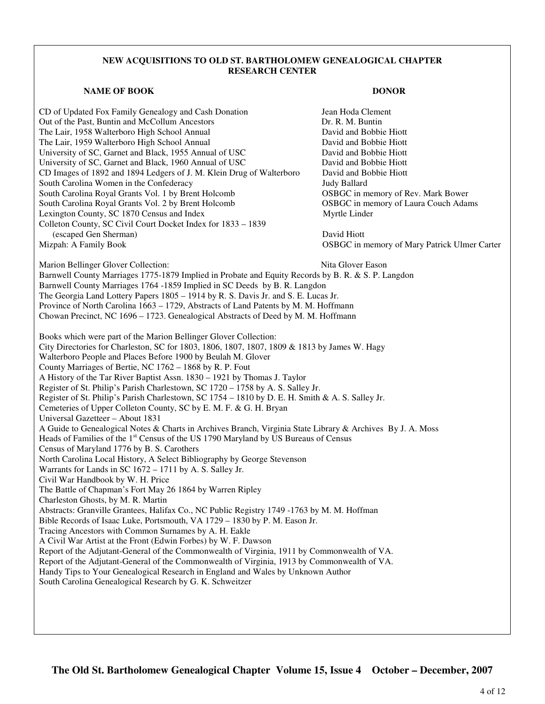## **NEW ACQUISITIONS TO OLD ST. BARTHOLOMEW GENEALOGICAL CHAPTER RESEARCH CENTER**

## **NAME OF BOOK DONOR DONOR**

CD of Updated Fox Family Genealogy and Cash Donation Jean Hoda Clement Out of the Past, Buntin and McCollum Ancestors **Dr. R. M. Buntin** The Lair, 1958 Walterboro High School Annual David and Bobbie Hiott The Lair, 1959 Walterboro High School Annual David and Bobbie Hiott University of SC, Garnet and Black, 1955 Annual of USC David and Bobbie Hiott University of SC, Garnet and Black, 1960 Annual of USC David and Bobbie Hiott CD Images of 1892 and 1894 Ledgers of J. M. Klein Drug of Walterboro David and Bobbie Hiott South Carolina Women in the Confederacy **South Carolina Women** in the Confederacy **Judy Ballard** South Carolina Royal Grants Vol. 1 by Brent Holcomb OSBGC in memory of Rev. Mark Bower South Carolina Royal Grants Vol. 2 by Brent Holcomb OSBGC in memory of Laura Couch Adams Lexington County, SC 1870 Census and Index Myrtle Linder Colleton County, SC Civil Court Docket Index for 1833 – 1839 (escaped Gen Sherman) David Hiott Mizpah: A Family Book OSBGC in memory of Mary Patrick Ulmer Carter

- Marion Bellinger Glover Collection: Nita Glover Eason Barnwell County Marriages 1775-1879 Implied in Probate and Equity Records by B. R. & S. P. Langdon Barnwell County Marriages 1764 -1859 Implied in SC Deeds by B. R. Langdon The Georgia Land Lottery Papers 1805 – 1914 by R. S. Davis Jr. and S. E. Lucas Jr. Province of North Carolina 1663 – 1729, Abstracts of Land Patents by M. M. Hoffmann Chowan Precinct, NC 1696 – 1723. Genealogical Abstracts of Deed by M. M. Hoffmann Books which were part of the Marion Bellinger Glover Collection: City Directories for Charleston, SC for 1803, 1806, 1807, 1807, 1809 & 1813 by James W. Hagy Walterboro People and Places Before 1900 by Beulah M. Glover County Marriages of Bertie, NC 1762 – 1868 by R. P. Fout A History of the Tar River Baptist Assn. 1830 – 1921 by Thomas J. Taylor Register of St. Philip's Parish Charlestown, SC 1720 – 1758 by A. S. Salley Jr. Register of St. Philip's Parish Charlestown, SC 1754 – 1810 by D. E. H. Smith & A. S. Salley Jr. Cemeteries of Upper Colleton County, SC by E. M. F. & G. H. Bryan Universal Gazetteer – About 1831 A Guide to Genealogical Notes & Charts in Archives Branch, Virginia State Library & Archives By J. A. Moss Heads of Families of the 1st Census of the US 1790 Maryland by US Bureaus of Census Census of Maryland 1776 by B. S. Carothers North Carolina Local History, A Select Bibliography by George Stevenson Warrants for Lands in SC 1672 – 1711 by A. S. Salley Jr.
- Civil War Handbook by W. H. Price

The Battle of Chapman's Fort May 26 1864 by Warren Ripley

Charleston Ghosts, by M. R. Martin

Abstracts: Granville Grantees, Halifax Co., NC Public Registry 1749 -1763 by M. M. Hoffman

Bible Records of Isaac Luke, Portsmouth, VA 1729 – 1830 by P. M. Eason Jr.

Tracing Ancestors with Common Surnames by A. H. Eakle

A Civil War Artist at the Front (Edwin Forbes) by W. F. Dawson

Report of the Adjutant-General of the Commonwealth of Virginia, 1911 by Commonwealth of VA.

Report of the Adjutant-General of the Commonwealth of Virginia, 1913 by Commonwealth of VA.

Handy Tips to Your Genealogical Research in England and Wales by Unknown Author

South Carolina Genealogical Research by G. K. Schweitzer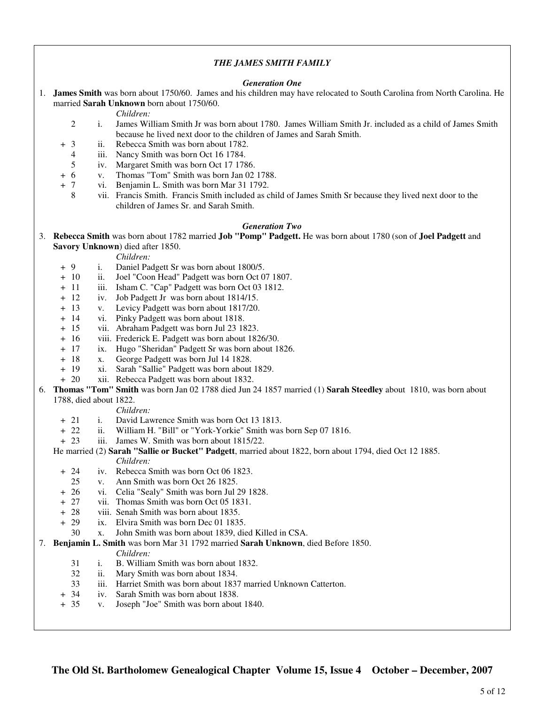## *THE JAMES SMITH FAMILY*

#### *Generation One*

1. **James Smith** was born about 1750/60. James and his children may have relocated to South Carolina from North Carolina. He married **Sarah Unknown** born about 1750/60.

*Children:*

- 2 i. James William Smith Jr was born about 1780. James William Smith Jr. included as a child of James Smith because he lived next door to the children of James and Sarah Smith.
- + 3 ii. Rebecca Smith was born about 1782.
	- 4 iii. Nancy Smith was born Oct 16 1784.
	- 5 iv. Margaret Smith was born Oct 17 1786.
- + 6 v. Thomas "Tom" Smith was born Jan 02 1788.
- + 7 vi. Benjamin L. Smith was born Mar 31 1792.
	- 8 vii. Francis Smith. Francis Smith included as child of James Smith Sr because they lived next door to the children of James Sr. and Sarah Smith.

#### *Generation Two*

3. **Rebecca Smith** was born about 1782 married **Job "Pomp" Padgett.** He was born about 1780 (son of **Joel Padgett** and **Savory Unknown**) died after 1850.

*Children:*

- + 9 i. Daniel Padgett Sr was born about 1800/5.
- + 10 ii. Joel "Coon Head" Padgett was born Oct 07 1807.
- + 11 iii. Isham C. "Cap" Padgett was born Oct 03 1812.
- + 12 iv. Job Padgett Jr was born about 1814/15.
- + 13 v. Levicy Padgett was born about 1817/20.
- + 14 vi. Pinky Padgett was born about 1818.
- + 15 vii. Abraham Padgett was born Jul 23 1823.
- + 16 viii. Frederick E. Padgett was born about 1826/30.
- + 17 ix. Hugo "Sheridan" Padgett Sr was born about 1826.
- + 18 x. George Padgett was born Jul 14 1828.
- + 19 xi. Sarah "Sallie" Padgett was born about 1829.
- + 20 xii. Rebecca Padgett was born about 1832.
- 6. **Thomas "Tom" Smith** was born Jan 02 1788 died Jun 24 1857 married (1) **Sarah Steedley** about 1810, was born about 1788, died about 1822.

#### *Children:*

- + 21 i. David Lawrence Smith was born Oct 13 1813.
- + 22 ii. William H. "Bill" or "York-Yorkie" Smith was born Sep 07 1816.
- + 23 iii. James W. Smith was born about 1815/22.
- He married (2) **Sarah "Sallie or Bucket" Padgett**, married about 1822, born about 1794, died Oct 12 1885. *Children:*
	- + 24 iv. Rebecca Smith was born Oct 06 1823.
		- 25 v. Ann Smith was born Oct 26 1825.
	- + 26 vi. Celia "Sealy" Smith was born Jul 29 1828.
	- + 27 vii. Thomas Smith was born Oct 05 1831.
	- + 28 viii. Senah Smith was born about 1835.
	- + 29 ix. Elvira Smith was born Dec 01 1835.
		- 30 x. John Smith was born about 1839, died Killed in CSA.
- 7. **Benjamin L. Smith** was born Mar 31 1792 married **Sarah Unknown**, died Before 1850.

#### *Children:*

- 31 i. B. William Smith was born about 1832.
- 32 ii. Mary Smith was born about 1834.
- 33 iii. Harriet Smith was born about 1837 married Unknown Catterton.
- + 34 iv. Sarah Smith was born about 1838.
- + 35 v. Joseph "Joe" Smith was born about 1840.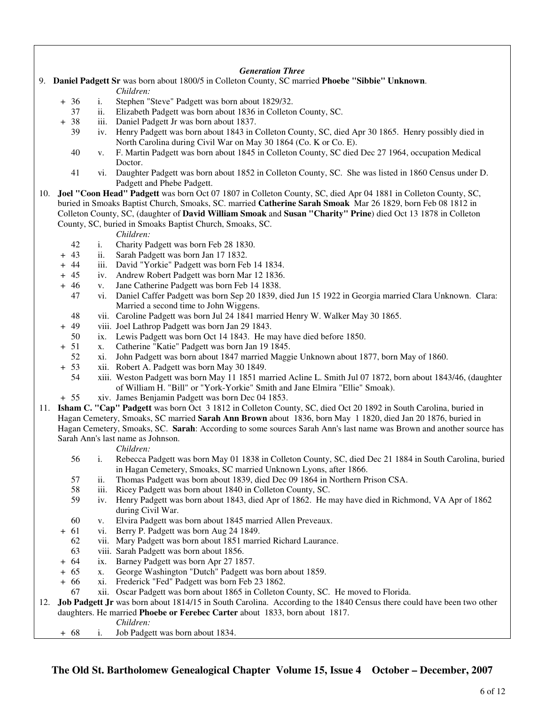## *Generation Three*

- 9. **Daniel Padgett Sr** was born about 1800/5 in Colleton County, SC married **Phoebe "Sibbie" Unknown**. *Children:*
	- + 36 i. Stephen "Steve" Padgett was born about 1829/32.
		- 37 ii. Elizabeth Padgett was born about 1836 in Colleton County, SC.
	- + 38 iii. Daniel Padgett Jr was born about 1837.
		- 39 iv. Henry Padgett was born about 1843 in Colleton County, SC, died Apr 30 1865. Henry possibly died in North Carolina during Civil War on May 30 1864 (Co. K or Co. E).
		- 40 v. F. Martin Padgett was born about 1845 in Colleton County, SC died Dec 27 1964, occupation Medical Doctor.
		- 41 vi. Daughter Padgett was born about 1852 in Colleton County, SC. She was listed in 1860 Census under D. Padgett and Phebe Padgett.
- 10. **Joel "Coon Head" Padgett** was born Oct 07 1807 in Colleton County, SC, died Apr 04 1881 in Colleton County, SC, buried in Smoaks Baptist Church, Smoaks, SC. married **Catherine Sarah Smoak** Mar 26 1829, born Feb 08 1812 in Colleton County, SC, (daughter of **David William Smoak** and **Susan "Charity" Prine**) died Oct 13 1878 in Colleton County, SC, buried in Smoaks Baptist Church, Smoaks, SC.

*Children:*

- 42 i. Charity Padgett was born Feb 28 1830.
- + 43 ii. Sarah Padgett was born Jan 17 1832.
- + 44 iii. David "Yorkie" Padgett was born Feb 14 1834.
- + 45 iv. Andrew Robert Padgett was born Mar 12 1836.
- + 46 v. Jane Catherine Padgett was born Feb 14 1838.
	- 47 vi. Daniel Caffer Padgett was born Sep 20 1839, died Jun 15 1922 in Georgia married Clara Unknown. Clara: Married a second time to John Wiggens.
	- 48 vii. Caroline Padgett was born Jul 24 1841 married Henry W. Walker May 30 1865.
- + 49 viii. Joel Lathrop Padgett was born Jan 29 1843.
- 50 ix. Lewis Padgett was born Oct 14 1843. He may have died before 1850.<br>+ 51 x. Catherine "Katie" Padgett was born Jan 19 1845.
	- x. Catherine "Katie" Padgett was born Jan 19 1845.
	- 52 xi. John Padgett was born about 1847 married Maggie Unknown about 1877, born May of 1860.
- + 53 xii. Robert A. Padgett was born May 30 1849.
	- 54 xiii. Weston Padgett was born May 11 1851 married Acline L. Smith Jul 07 1872, born about 1843/46, (daughter of William H. "Bill" or "York-Yorkie" Smith and Jane Elmira "Ellie" Smoak).
- + 55 xiv. James Benjamin Padgett was born Dec 04 1853.
- 11. **Isham C. "Cap" Padgett** was born Oct 3 1812 in Colleton County, SC, died Oct 20 1892 in South Carolina, buried in Hagan Cemetery, Smoaks, SC married **Sarah Ann Brown** about 1836, born May 1 1820, died Jan 20 1876, buried in Hagan Cemetery, Smoaks, SC. **Sarah**: According to some sources Sarah Ann's last name was Brown and another source has Sarah Ann's last name as Johnson.

*Children:*

- 56 i. Rebecca Padgett was born May 01 1838 in Colleton County, SC, died Dec 21 1884 in South Carolina, buried in Hagan Cemetery, Smoaks, SC married Unknown Lyons, after 1866.
- 57 ii. Thomas Padgett was born about 1839, died Dec 09 1864 in Northern Prison CSA.
- 58 iii. Ricey Padgett was born about 1840 in Colleton County, SC.
- 59 iv. Henry Padgett was born about 1843, died Apr of 1862. He may have died in Richmond, VA Apr of 1862 during Civil War.
- 60 v. Elvira Padgett was born about 1845 married Allen Preveaux.
- + 61 vi. Berry P. Padgett was born Aug 24 1849.
	- 62 vii. Mary Padgett was born about 1851 married Richard Laurance.
	- 63 viii. Sarah Padgett was born about 1856.
- + 64 ix. Barney Padgett was born Apr 27 1857.
- + 65 x. George Washington "Dutch" Padgett was born about 1859.
- + 66 xi. Frederick "Fed" Padgett was born Feb 23 1862.
- 67 xii. Oscar Padgett was born about 1865 in Colleton County, SC. He moved to Florida.

12. **Job Padgett Jr** was born about 1814/15 in South Carolina. According to the 1840 Census there could have been two other daughters. He married **Phoebe or Ferebec Carter** about 1833, born about 1817.

*Children:*

+ 68 i. Job Padgett was born about 1834.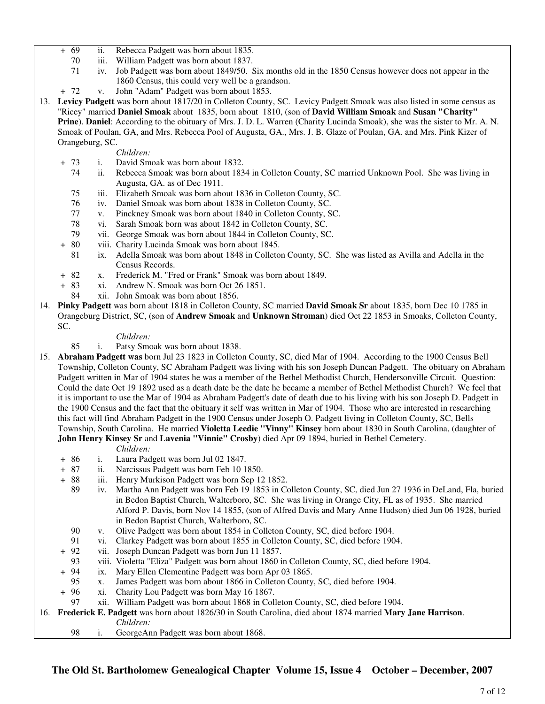- + 69 ii. Rebecca Padgett was born about 1835.
	- 70 iii. William Padgett was born about 1837.
	- 71 iv. Job Padgett was born about 1849/50. Six months old in the 1850 Census however does not appear in the 1860 Census, this could very well be a grandson.
- + 72 v. John "Adam" Padgett was born about 1853.
- 13. **Levicy Padgett** was born about 1817/20 in Colleton County, SC. Levicy Padgett Smoak was also listed in some census as "Ricey" married **Daniel Smoak** about 1835, born about 1810, (son of **David William Smoak** and **Susan "Charity" Prine**). **Daniel**: According to the obituary of Mrs. J. D. L. Warren (Charity Lucinda Smoak), she was the sister to Mr. A. N. Smoak of Poulan, GA, and Mrs. Rebecca Pool of Augusta, GA., Mrs. J. B. Glaze of Poulan, GA. and Mrs. Pink Kizer of Orangeburg, SC.
	- *Children:*
	- + 73 i. David Smoak was born about 1832.
		- 74 ii. Rebecca Smoak was born about 1834 in Colleton County, SC married Unknown Pool. She was living in Augusta, GA. as of Dec 1911.
		- 75 iii. Elizabeth Smoak was born about 1836 in Colleton County, SC.
		- 76 iv. Daniel Smoak was born about 1838 in Colleton County, SC.
		- 77 v. Pinckney Smoak was born about 1840 in Colleton County, SC.
		- 78 vi. Sarah Smoak born was about 1842 in Colleton County, SC.
		- 79 vii. George Smoak was born about 1844 in Colleton County, SC.
	- + 80 viii. Charity Lucinda Smoak was born about 1845.
		- 81 ix. Adella Smoak was born about 1848 in Colleton County, SC. She was listed as Avilla and Adella in the Census Records.
	- + 82 x. Frederick M. "Fred or Frank" Smoak was born about 1849.<br>+ 83 xi. Andrew N. Smoak was born Oct 26 1851.
	- xi. Andrew N. Smoak was born Oct 26 1851.
		- 84 xii. John Smoak was born about 1856.
- 14. **Pinky Padgett** was born about 1818 in Colleton County, SC married **David Smoak Sr** about 1835, born Dec 10 1785 in Orangeburg District, SC, (son of **Andrew Smoak** and **Unknown Stroman**) died Oct 22 1853 in Smoaks, Colleton County, SC.

- *Children:*<br>85 i. Patsy Smo i. Patsy Smoak was born about 1838.
- 15. **Abraham Padgett was** born Jul 23 1823 in Colleton County, SC, died Mar of 1904. According to the 1900 Census Bell Township, Colleton County, SC Abraham Padgett was living with his son Joseph Duncan Padgett. The obituary on Abraham Padgett written in Mar of 1904 states he was a member of the Bethel Methodist Church, Hendersonville Circuit. Question: Could the date Oct 19 1892 used as a death date be the date he became a member of Bethel Methodist Church? We feel that it is important to use the Mar of 1904 as Abraham Padgett's date of death due to his living with his son Joseph D. Padgett in the 1900 Census and the fact that the obituary it self was written in Mar of 1904. Those who are interested in researching this fact will find Abraham Padgett in the 1900 Census under Joseph O. Padgett living in Colleton County, SC, Bells Township, South Carolina. He married **Violetta Leedie "Vinny" Kinsey** born about 1830 in South Carolina, (daughter of **John Henry Kinsey Sr** and **Lavenia "Vinnie" Crosby**) died Apr 09 1894, buried in Bethel Cemetery.

*Children:*

- + 86 i. Laura Padgett was born Jul 02 1847.
- + 87 ii. Narcissus Padgett was born Feb 10 1850.
- + 88 iii. Henry Murkison Padgett was born Sep 12 1852.
	- 89 iv. Martha Ann Padgett was born Feb 19 1853 in Colleton County, SC, died Jun 27 1936 in DeLand, Fla, buried in Bedon Baptist Church, Walterboro, SC. She was living in Orange City, FL as of 1935. She married Alford P. Davis, born Nov 14 1855, (son of Alfred Davis and Mary Anne Hudson) died Jun 06 1928, buried in Bedon Baptist Church, Walterboro, SC.
	- 90 v. Olive Padgett was born about 1854 in Colleton County, SC, died before 1904.
	- 91 vi. Clarkey Padgett was born about 1855 in Colleton County, SC, died before 1904.
- + 92 vii. Joseph Duncan Padgett was born Jun 11 1857.
	- 93 viii. Violetta "Eliza" Padgett was born about 1860 in Colleton County, SC, died before 1904.
- + 94 ix. Mary Ellen Clementine Padgett was born Apr 03 1865.
- 95 x. James Padgett was born about 1866 in Colleton County, SC, died before 1904.<br>+ 96 xi. Charity Lou Padgett was born May 16 1867.
- xi. Charity Lou Padgett was born May 16 1867.
- 97 xii. William Padgett was born about 1868 in Colleton County, SC, died before 1904.

## 16. **Frederick E. Padgett** was born about 1826/30 in South Carolina, died about 1874 married **Mary Jane Harrison**. *Children:*

98 i. GeorgeAnn Padgett was born about 1868.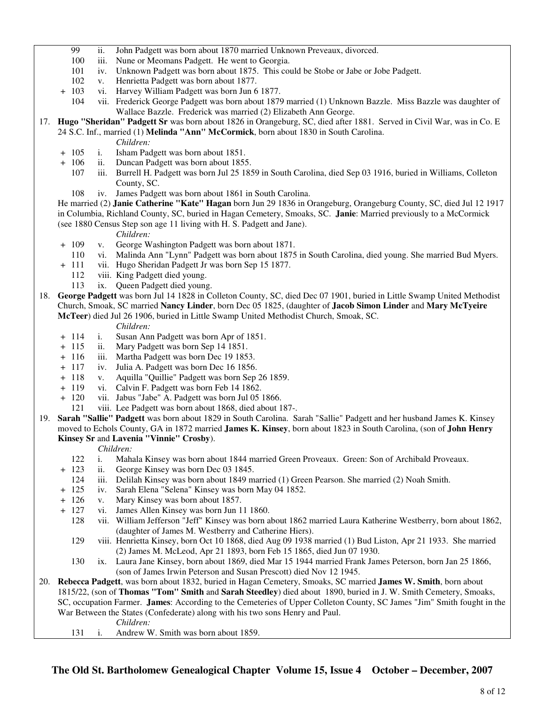- 99 ii. John Padgett was born about 1870 married Unknown Preveaux, divorced.
- 100 iii. Nune or Meomans Padgett. He went to Georgia.
- 101 iv. Unknown Padgett was born about 1875. This could be Stobe or Jabe or Jobe Padgett.
- 102 v. Henrietta Padgett was born about 1877.
- + 103 vi. Harvey William Padgett was born Jun 6 1877.
	- 104 vii. Frederick George Padgett was born about 1879 married (1) Unknown Bazzle. Miss Bazzle was daughter of Wallace Bazzle. Frederick was married (2) Elizabeth Ann George.
- 17. **Hugo "Sheridan" Padgett Sr** was born about 1826 in Orangeburg, SC, died after 1881. Served in Civil War, was in Co. E 24 S.C. Inf., married (1) **Melinda "Ann" McCormick**, born about 1830 in South Carolina.
	- *Children:*
	- + 105 i. Isham Padgett was born about 1851.
	- + 106 ii. Duncan Padgett was born about 1855.
		- 107 iii. Burrell H. Padgett was born Jul 25 1859 in South Carolina, died Sep 03 1916, buried in Williams, Colleton County, SC.
		- 108 iv. James Padgett was born about 1861 in South Carolina.

 He married (2) **Janie Catherine "Kate" Hagan** born Jun 29 1836 in Orangeburg, Orangeburg County, SC, died Jul 12 1917 in Columbia, Richland County, SC, buried in Hagan Cemetery, Smoaks, SC. **Janie**: Married previously to a McCormick (see 1880 Census Step son age 11 living with H. S. Padgett and Jane).

## *Children:*

- + 109 v. George Washington Padgett was born about 1871.
	- 110 vi. Malinda Ann "Lynn" Padgett was born about 1875 in South Carolina, died young. She married Bud Myers.
- + 111 vii. Hugo Sheridan Padgett Jr was born Sep 15 1877.
	- 112 viii. King Padgett died young.
	- 113 ix. Queen Padgett died young.
- 18. **George Padgett** was born Jul 14 1828 in Colleton County, SC, died Dec 07 1901, buried in Little Swamp United Methodist Church, Smoak, SC married **Nancy Linder**, born Dec 05 1825, (daughter of **Jacob Simon Linder** and **Mary McTyeire McTeer**) died Jul 26 1906, buried in Little Swamp United Methodist Church, Smoak, SC.

#### *Children:*

- + 114 i. Susan Ann Padgett was born Apr of 1851.
- + 115 ii. Mary Padgett was born Sep 14 1851.
- + 116 iii. Martha Padgett was born Dec 19 1853.
- + 117 iv. Julia A. Padgett was born Dec 16 1856.
- + 118 v. Aquilla "Quillie" Padgett was born Sep 26 1859.
- + 119 vi. Calvin F. Padgett was born Feb 14 1862.
- + 120 vii. Jabus "Jabe" A. Padgett was born Jul 05 1866.
	- 121 viii. Lee Padgett was born about 1868, died about 187-.
- 19. **Sarah "Sallie" Padgett** was born about 1829 in South Carolina. Sarah "Sallie" Padgett and her husband James K. Kinsey moved to Echols County, GA in 1872 married **James K. Kinsey**, born about 1823 in South Carolina, (son of **John Henry Kinsey Sr** and **Lavenia "Vinnie" Crosby**).

## *Children:*

- 122 i. Mahala Kinsey was born about 1844 married Green Proveaux. Green: Son of Archibald Proveaux.
- + 123 ii. George Kinsey was born Dec 03 1845.
	- 124 iii. Delilah Kinsey was born about 1849 married (1) Green Pearson. She married (2) Noah Smith.
- + 125 iv. Sarah Elena "Selena" Kinsey was born May 04 1852.
- + 126 v. Mary Kinsey was born about 1857.
	- vi. James Allen Kinsey was born Jun 11 1860.
	- 128 vii. William Jefferson "Jeff" Kinsey was born about 1862 married Laura Katherine Westberry, born about 1862, (daughter of James M. Westberry and Catherine Hiers).
	- 129 viii. Henrietta Kinsey, born Oct 10 1868, died Aug 09 1938 married (1) Bud Liston, Apr 21 1933. She married (2) James M. McLeod, Apr 21 1893, born Feb 15 1865, died Jun 07 1930.
	- 130 ix. Laura Jane Kinsey, born about 1869, died Mar 15 1944 married Frank James Peterson, born Jan 25 1866, (son of James Irwin Peterson and Susan Prescott) died Nov 12 1945.
- 20. **Rebecca Padgett**, was born about 1832, buried in Hagan Cemetery, Smoaks, SC married **James W. Smith**, born about 1815/22, (son of **Thomas "Tom" Smith** and **Sarah Steedley**) died about 1890, buried in J. W. Smith Cemetery, Smoaks, SC, occupation Farmer. **James**: According to the Cemeteries of Upper Colleton County, SC James "Jim" Smith fought in the War Between the States (Confederate) along with his two sons Henry and Paul.

*Children:*

131 i. Andrew W. Smith was born about 1859.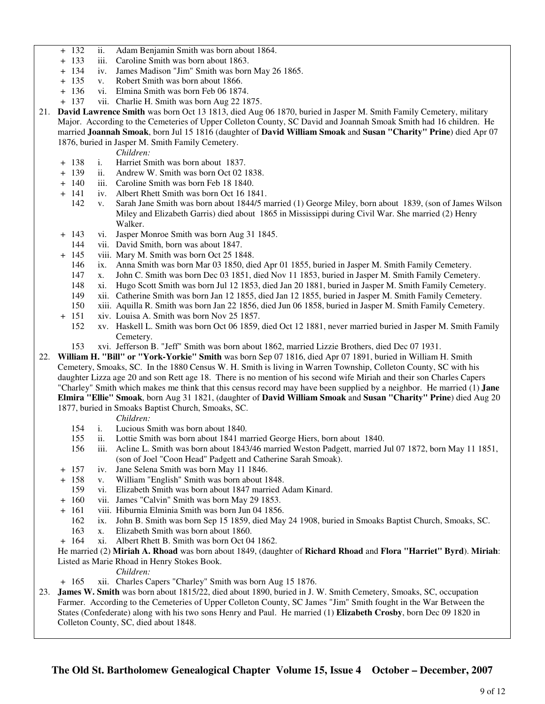- + 132 ii. Adam Benjamin Smith was born about 1864.
- + 133 iii. Caroline Smith was born about 1863.
- + 134 iv. James Madison "Jim" Smith was born May 26 1865.
- + 135 v. Robert Smith was born about 1866.
- + 136 vi. Elmina Smith was born Feb 06 1874.
- + 137 vii. Charlie H. Smith was born Aug 22 1875.
- 21. **David Lawrence Smith** was born Oct 13 1813, died Aug 06 1870, buried in Jasper M. Smith Family Cemetery, military Major. According to the Cemeteries of Upper Colleton County, SC David and Joannah Smoak Smith had 16 children. He married **Joannah Smoak**, born Jul 15 1816 (daughter of **David William Smoak** and **Susan "Charity" Prine**) died Apr 07 1876, buried in Jasper M. Smith Family Cemetery.

*Children:*

- + 138 i. Harriet Smith was born about 1837.
- + 139 ii. Andrew W. Smith was born Oct 02 1838.
- + 140 iii. Caroline Smith was born Feb 18 1840.
- + 141 iv. Albert Rhett Smith was born Oct 16 1841.
	- 142 v. Sarah Jane Smith was born about 1844/5 married (1) George Miley, born about 1839, (son of James Wilson Miley and Elizabeth Garris) died about 1865 in Mississippi during Civil War. She married (2) Henry Walker.
- + 143 vi. Jasper Monroe Smith was born Aug 31 1845.
	- 144 vii. David Smith, born was about 1847.
- + 145 viii. Mary M. Smith was born Oct 25 1848.
	- 146 ix. Anna Smith was born Mar 03 1850, died Apr 01 1855, buried in Jasper M. Smith Family Cemetery.
	- 147 x. John C. Smith was born Dec 03 1851, died Nov 11 1853, buried in Jasper M. Smith Family Cemetery.
	- 148 xi. Hugo Scott Smith was born Jul 12 1853, died Jan 20 1881, buried in Jasper M. Smith Family Cemetery.
	- 149 xii. Catherine Smith was born Jan 12 1855, died Jan 12 1855, buried in Jasper M. Smith Family Cemetery.
	- 150 xiii. Aquilla R. Smith was born Jan 22 1856, died Jun 06 1858, buried in Jasper M. Smith Family Cemetery.
- + 151 xiv. Louisa A. Smith was born Nov 25 1857.
	- 152 xv. Haskell L. Smith was born Oct 06 1859, died Oct 12 1881, never married buried in Jasper M. Smith Family Cemetery.
	- 153 xvi. Jefferson B. "Jeff" Smith was born about 1862, married Lizzie Brothers, died Dec 07 1931.
- 22. **William H. "Bill" or "York-Yorkie" Smith** was born Sep 07 1816, died Apr 07 1891, buried in William H. Smith Cemetery, Smoaks, SC. In the 1880 Census W. H. Smith is living in Warren Township, Colleton County, SC with his daughter Lizza age 20 and son Rett age 18. There is no mention of his second wife Miriah and their son Charles Capers "Charley" Smith which makes me think that this census record may have been supplied by a neighbor. He married (1) **Jane Elmira "Ellie" Smoak**, born Aug 31 1821, (daughter of **David William Smoak** and **Susan "Charity" Prine**) died Aug 20 1877, buried in Smoaks Baptist Church, Smoaks, SC.
	- *Children:*
	- 154 i. Lucious Smith was born about 1840.
	- 155 ii. Lottie Smith was born about 1841 married George Hiers, born about 1840.
	- 156 iii. Acline L. Smith was born about 1843/46 married Weston Padgett, married Jul 07 1872, born May 11 1851, (son of Joel "Coon Head" Padgett and Catherine Sarah Smoak).
	- + 157 iv. Jane Selena Smith was born May 11 1846.
	- + 158 v. William "English" Smith was born about 1848.
		- 159 vi. Elizabeth Smith was born about 1847 married Adam Kinard.
	- + 160 vii. James "Calvin" Smith was born May 29 1853.
	- + 161 viii. Hiburnia Elminia Smith was born Jun 04 1856.
		- 162 ix. John B. Smith was born Sep 15 1859, died May 24 1908, buried in Smoaks Baptist Church, Smoaks, SC.
		- 163 x. Elizabeth Smith was born about 1860.
	- + 164 xi. Albert Rhett B. Smith was born Oct 04 1862.
	- He married (2) **Miriah A. Rhoad** was born about 1849, (daughter of **Richard Rhoad** and **Flora "Harriet" Byrd**). **Miriah**: Listed as Marie Rhoad in Henry Stokes Book.

# *Children:*

+ 165 xii. Charles Capers "Charley" Smith was born Aug 15 1876.

23. **James W. Smith** was born about 1815/22, died about 1890, buried in J. W. Smith Cemetery, Smoaks, SC, occupation Farmer. According to the Cemeteries of Upper Colleton County, SC James "Jim" Smith fought in the War Between the States (Confederate) along with his two sons Henry and Paul. He married (1) **Elizabeth Crosby**, born Dec 09 1820 in Colleton County, SC, died about 1848.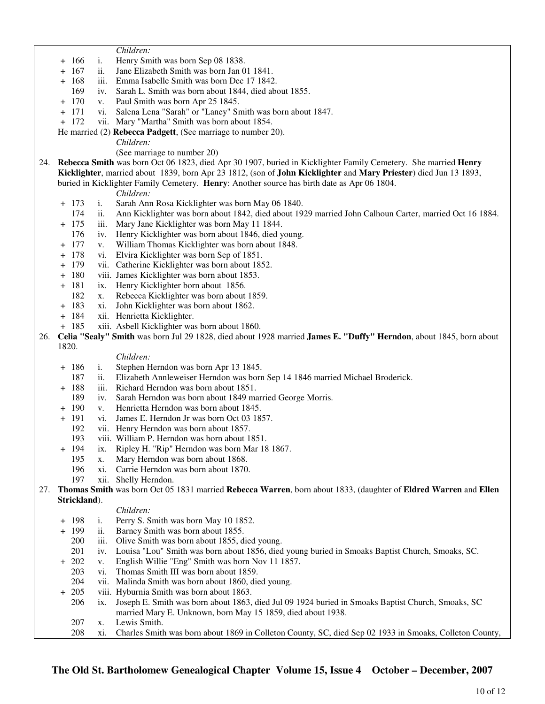*Children:*

- + 166 i. Henry Smith was born Sep 08 1838.
- + 167 ii. Jane Elizabeth Smith was born Jan 01 1841.
- + 168 iii. Emma Isabelle Smith was born Dec 17 1842.
	- 169 iv. Sarah L. Smith was born about 1844, died about 1855.
- + 170 v. Paul Smith was born Apr 25 1845.
- + 171 vi. Salena Lena "Sarah" or "Laney" Smith was born about 1847.
- + 172 vii. Mary "Martha" Smith was born about 1854.
- He married (2) **Rebecca Padgett**, (See marriage to number 20).
	- *Children:*

(See marriage to number 20)

24. **Rebecca Smith** was born Oct 06 1823, died Apr 30 1907, buried in Kicklighter Family Cemetery. She married **Henry Kicklighter**, married about 1839, born Apr 23 1812, (son of **John Kicklighter** and **Mary Priester**) died Jun 13 1893, buried in Kicklighter Family Cemetery. **Henry**: Another source has birth date as Apr 06 1804.

*Children:*

- + 173 i. Sarah Ann Rosa Kicklighter was born May 06 1840.
- 174 ii. Ann Kicklighter was born about 1842, died about 1929 married John Calhoun Carter, married Oct 16 1884.
- + 175 iii. Mary Jane Kicklighter was born May 11 1844.
	- 176 iv. Henry Kicklighter was born about 1846, died young.
- + 177 v. William Thomas Kicklighter was born about 1848.
- + 178 vi. Elvira Kicklighter was born Sep of 1851.
- + 179 vii. Catherine Kicklighter was born about 1852.
- + 180 viii. James Kicklighter was born about 1853.
- + 181 ix. Henry Kicklighter born about 1856.
	- 182 x. Rebecca Kicklighter was born about 1859.
- + 183 xi. John Kicklighter was born about 1862.
- + 184 xii. Henrietta Kicklighter.
- + 185 xiii. Asbell Kicklighter was born about 1860.
- 26. **Celia "Sealy" Smith** was born Jul 29 1828, died about 1928 married **James E. "Duffy" Herndon**, about 1845, born about 1820.

#### *Children:*

- + 186 i. Stephen Herndon was born Apr 13 1845.
- 187 ii. Elizabeth Annleweiser Herndon was born Sep 14 1846 married Michael Broderick.
- + 188 iii. Richard Herndon was born about 1851.
	- 189 iv. Sarah Herndon was born about 1849 married George Morris.
- + 190 v. Henrietta Herndon was born about 1845.
- + 191 vi. James E. Herndon Jr was born Oct 03 1857.
- 192 vii. Henry Herndon was born about 1857.
- 193 viii. William P. Herndon was born about 1851.
- + 194 ix. Ripley H. "Rip" Herndon was born Mar 18 1867.
	- 195 x. Mary Herndon was born about 1868.
	- 196 xi. Carrie Herndon was born about 1870.
	- 197 xii. Shelly Herndon.
- 27. **Thomas Smith** was born Oct 05 1831 married **Rebecca Warren**, born about 1833, (daughter of **Eldred Warren** and **Ellen Strickland**).

#### *Children:*

- + 198 i. Perry S. Smith was born May 10 1852.
- + 199 ii. Barney Smith was born about 1855.
	- 200 iii. Olive Smith was born about 1855, died young.
	- 201 iv. Louisa "Lou" Smith was born about 1856, died young buried in Smoaks Baptist Church, Smoaks, SC.
- + 202 v. English Willie "Eng" Smith was born Nov 11 1857.
- 203 vi. Thomas Smith III was born about 1859.
- 204 vii. Malinda Smith was born about 1860, died young.
- + 205 viii. Hyburnia Smith was born about 1863.
	- 206 ix. Joseph E. Smith was born about 1863, died Jul 09 1924 buried in Smoaks Baptist Church, Smoaks, SC married Mary E. Unknown, born May 15 1859, died about 1938.
	- 207 x. Lewis Smith.
	- 208 xi. Charles Smith was born about 1869 in Colleton County, SC, died Sep 02 1933 in Smoaks, Colleton County,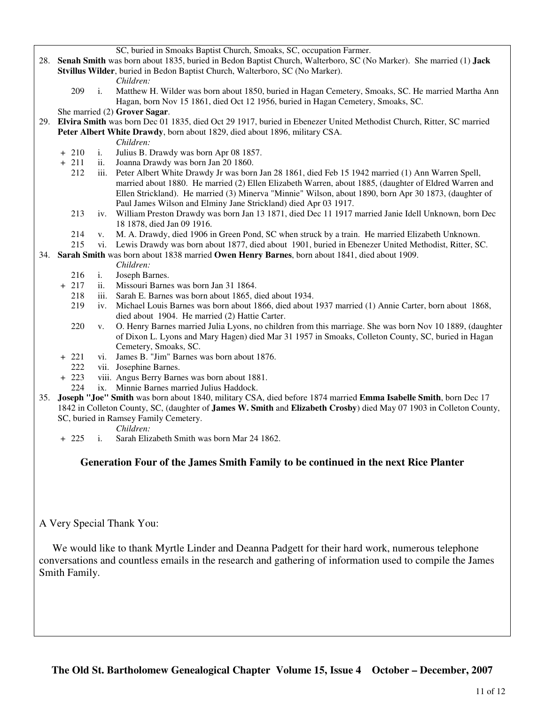SC, buried in Smoaks Baptist Church, Smoaks, SC, occupation Farmer.

- 28. **Senah Smith** was born about 1835, buried in Bedon Baptist Church, Walterboro, SC (No Marker). She married (1) **Jack Stvillus Wilder**, buried in Bedon Baptist Church, Walterboro, SC (No Marker).
	- *Children:*
	- 209 i. Matthew H. Wilder was born about 1850, buried in Hagan Cemetery, Smoaks, SC. He married Martha Ann Hagan, born Nov 15 1861, died Oct 12 1956, buried in Hagan Cemetery, Smoaks, SC.
	- She married (2) **Grover Sagar**.
- 29. **Elvira Smith** was born Dec 01 1835, died Oct 29 1917, buried in Ebenezer United Methodist Church, Ritter, SC married **Peter Albert White Drawdy**, born about 1829, died about 1896, military CSA.
	- *Children:*
	- + 210 i. Julius B. Drawdy was born Apr 08 1857.
	- + 211 ii. Joanna Drawdy was born Jan 20 1860.
		- 212 iii. Peter Albert White Drawdy Jr was born Jan 28 1861, died Feb 15 1942 married (1) Ann Warren Spell, married about 1880. He married (2) Ellen Elizabeth Warren, about 1885, (daughter of Eldred Warren and Ellen Strickland). He married (3) Minerva "Minnie" Wilson, about 1890, born Apr 30 1873, (daughter of Paul James Wilson and Elminy Jane Strickland) died Apr 03 1917.
		- 213 iv. William Preston Drawdy was born Jan 13 1871, died Dec 11 1917 married Janie Idell Unknown, born Dec 18 1878, died Jan 09 1916.
		- 214 v. M. A. Drawdy, died 1906 in Green Pond, SC when struck by a train. He married Elizabeth Unknown.
		- 215 vi. Lewis Drawdy was born about 1877, died about 1901, buried in Ebenezer United Methodist, Ritter, SC.
- 34. **Sarah Smith** was born about 1838 married **Owen Henry Barnes**, born about 1841, died about 1909.
	- *Children:*
	- 216 i. Joseph Barnes.<br>+ 217 ii. Missouri Barne
		- ii. Missouri Barnes was born Jan 31 1864.
		- 218 iii. Sarah E. Barnes was born about 1865, died about 1934.
		- 219 iv. Michael Louis Barnes was born about 1866, died about 1937 married (1) Annie Carter, born about 1868, died about 1904. He married (2) Hattie Carter.
		- 220 v. O. Henry Barnes married Julia Lyons, no children from this marriage. She was born Nov 10 1889, (daughter of Dixon L. Lyons and Mary Hagen) died Mar 31 1957 in Smoaks, Colleton County, SC, buried in Hagan Cemetery, Smoaks, SC.
	- + 221 vi. James B. "Jim" Barnes was born about 1876.
		- 222 vii. Josephine Barnes.
	- + 223 viii. Angus Berry Barnes was born about 1881.
		- 224 ix. Minnie Barnes married Julius Haddock.
- 35. **Joseph "Joe" Smith** was born about 1840, military CSA, died before 1874 married **Emma Isabelle Smith**, born Dec 17 1842 in Colleton County, SC, (daughter of **James W. Smith** and **Elizabeth Crosby**) died May 07 1903 in Colleton County, SC, buried in Ramsey Family Cemetery.
	- *Children:*
	- + 225 i. Sarah Elizabeth Smith was born Mar 24 1862.

# **Generation Four of the James Smith Family to be continued in the next Rice Planter**

A Very Special Thank You:

 We would like to thank Myrtle Linder and Deanna Padgett for their hard work, numerous telephone conversations and countless emails in the research and gathering of information used to compile the James Smith Family.